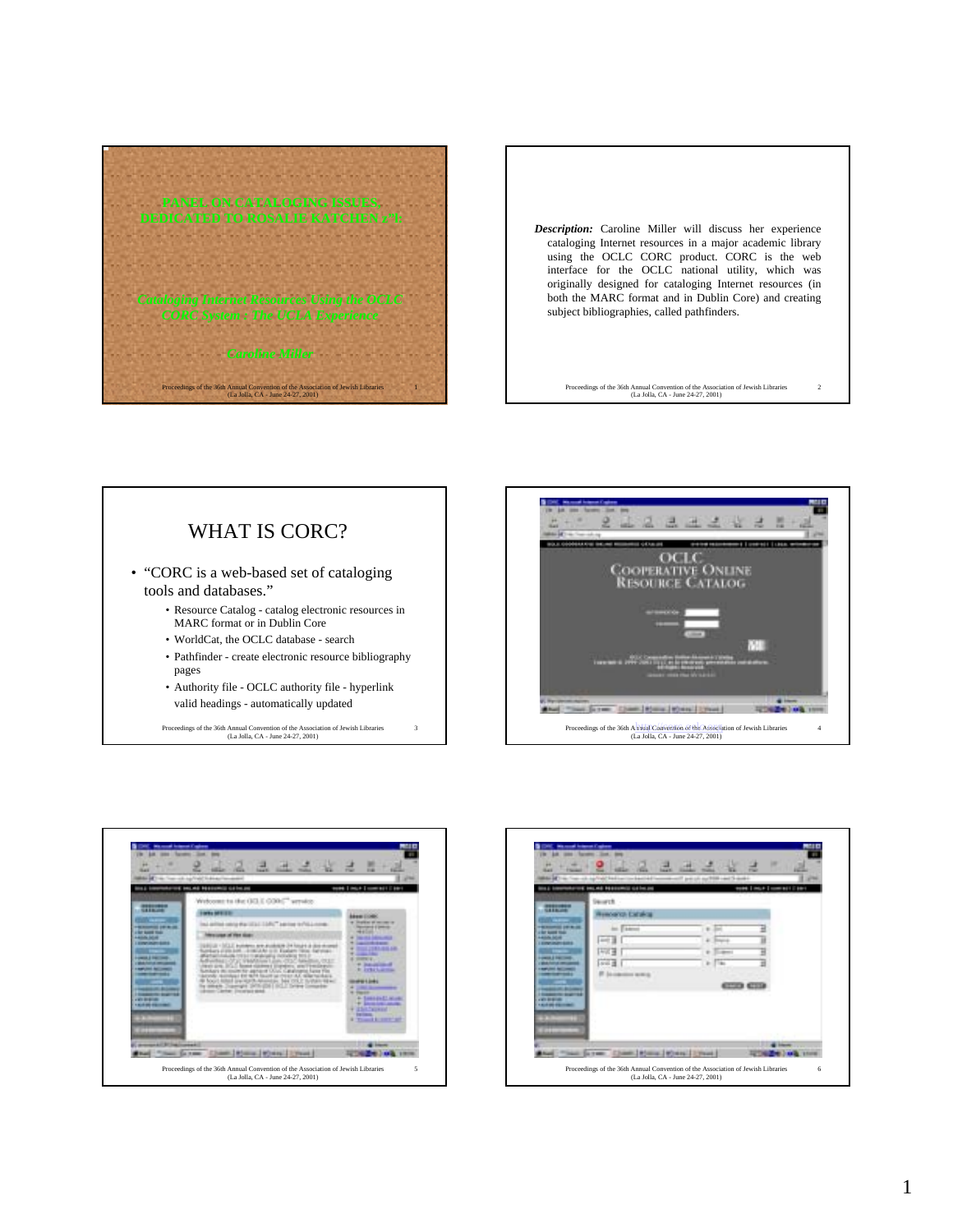

*Description:* Caroline Miller will discuss her experience cataloging Internet resources in a major academic library using the OCLC CORC product. CORC is the web interface for the OCLC national utility, which was originally designed for cataloging Internet resources (in both the MARC format and in Dublin Core) and creating subject bibliographies, called pathfinders.

Proceedings of the 36th Annual Convention of the Association of Jewish Libraries (La Jolla, CA - June 24-27, 2001) 2

## WHAT IS CORC?

- "CORC is a web-based set of cataloging tools and databases."
	- Resource Catalog catalog electronic resources in MARC format or in Dublin Core
	- WorldCat, the OCLC database search
	- Pathfinder create electronic resource bibliography pages

3

• Authority file - OCLC authority file - hyperlink valid headings - automatically updated

Proceedings of the 36th Annual Convention of the Association of Jewish Libraries (La Jolla, CA - June 24-27, 2001)





|   | Mit von all Antiquest Capitane<br><b>SALES</b><br><b>There</b><br>The chapital behaviorabeted becomes it paids and held and a<br><b>Asion Inc.nd Hoppmis calmus</b><br><b>WORK   INCLY   COME BET   EBY</b><br>                                |
|---|------------------------------------------------------------------------------------------------------------------------------------------------------------------------------------------------------------------------------------------------|
|   | <b>Security</b><br>mmed and street<br><b>Kenta Estaka</b><br>----<br><b>ALL EXAMINE</b><br>$\frac{1}{2}$<br><b>AND</b><br>u<br>œ<br>٠<br><b>AND IN</b><br>×<br>T'm<br>de cities acat a<br><b>ATLANTA</b><br><b><i><u>Kind on Stars</u></i></b> |
| 5 | Sant Lesson   Wreck   Lynne<br>Sa reserv<br>Proceedings of the 36th Annual Convention of the Association of Jewish Libraries<br>6<br>(La Jolla, CA - June 24-27, 2001)                                                                         |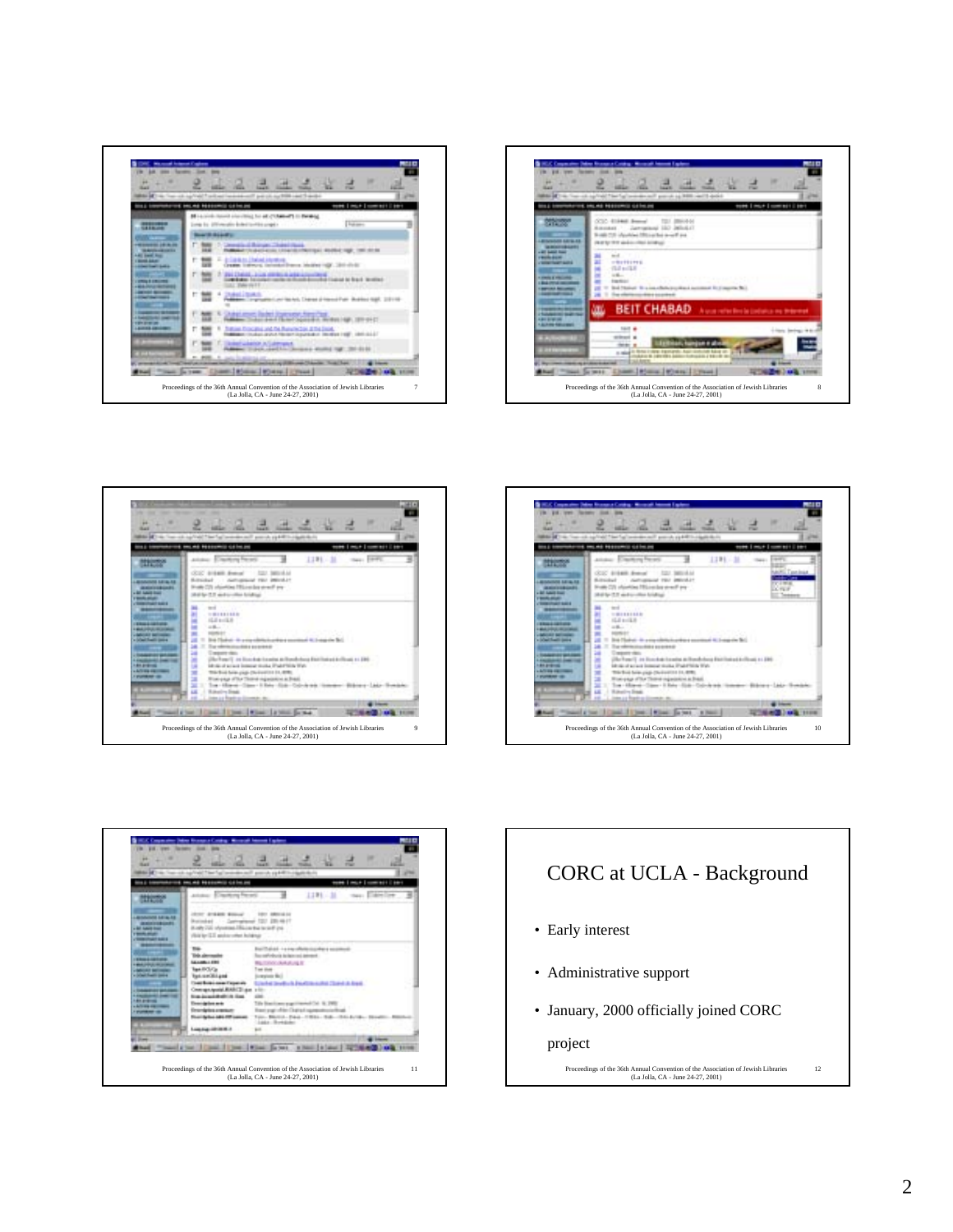









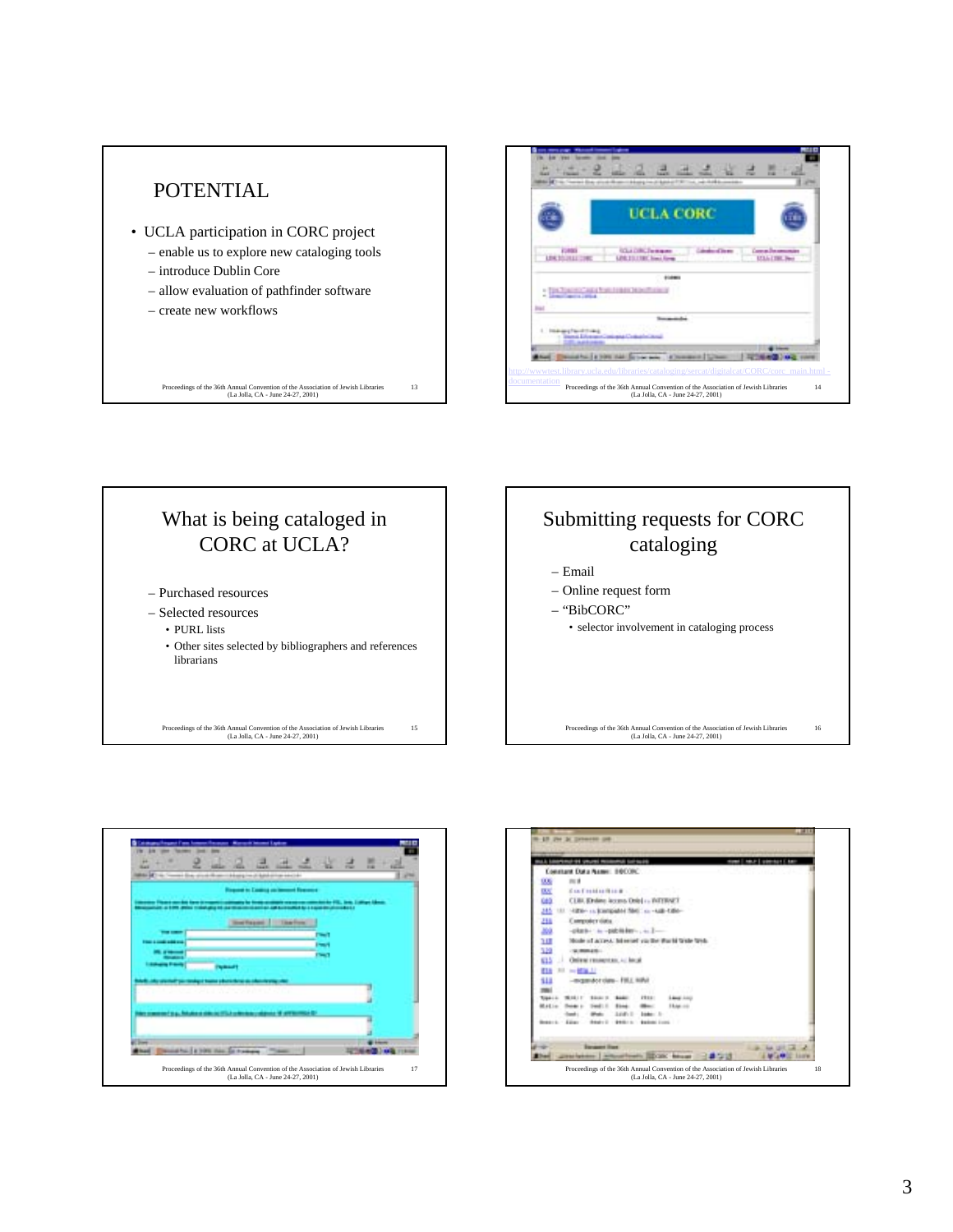



## What is being cataloged in CORC at UCLA?

- Purchased resources
- Selected resources
	- PURL lists
	- Other sites selected by bibliographers and references librarians

Proceedings of the 36th Annual Convention of the Association of Jewish Libraries (La Jolla, CA - June 24-27, 2001)

15



Proceedings of the 36th Annual Convention of the Association of Jewish Libraries (La Jolla, CA - June 24-27, 2001) 16



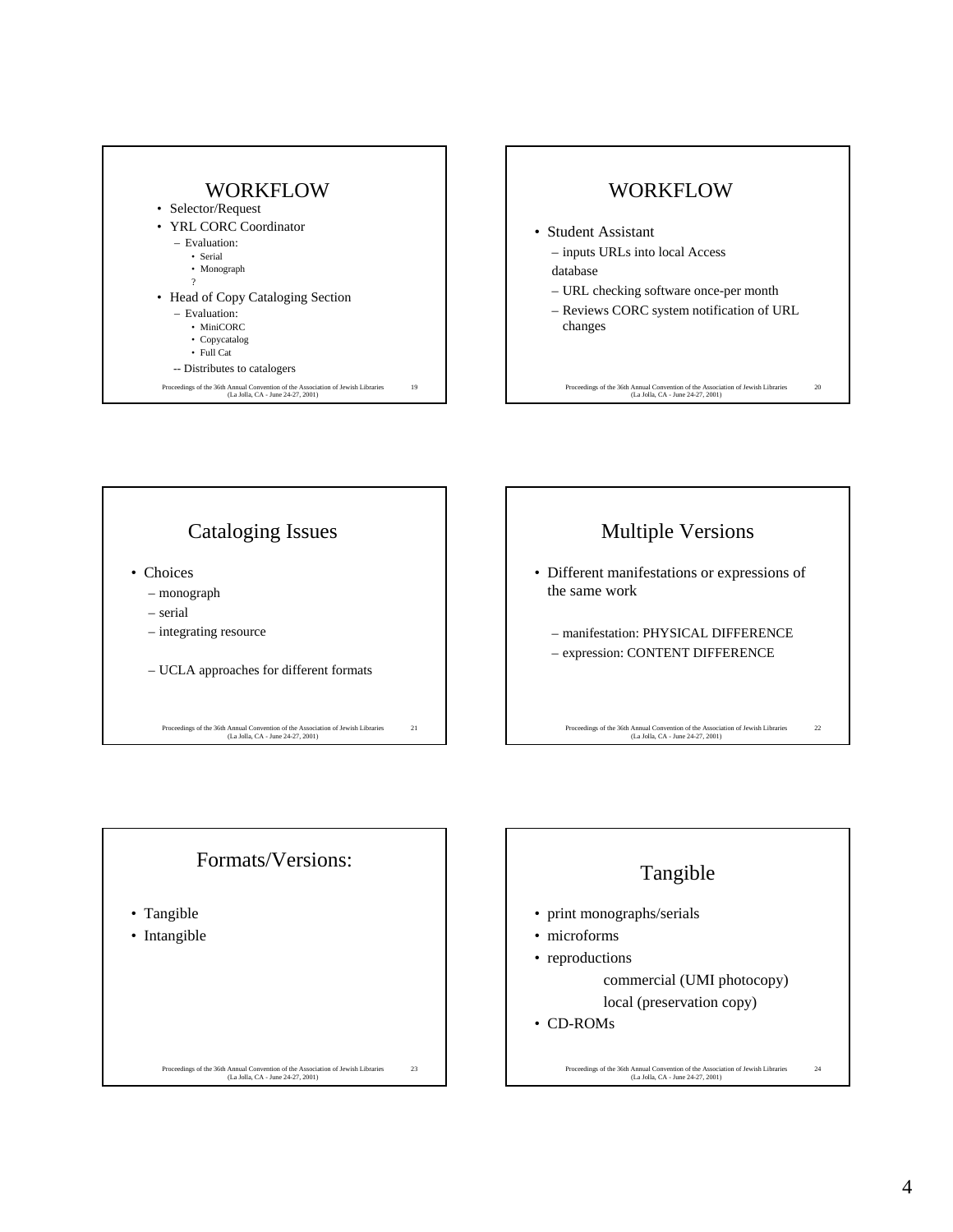





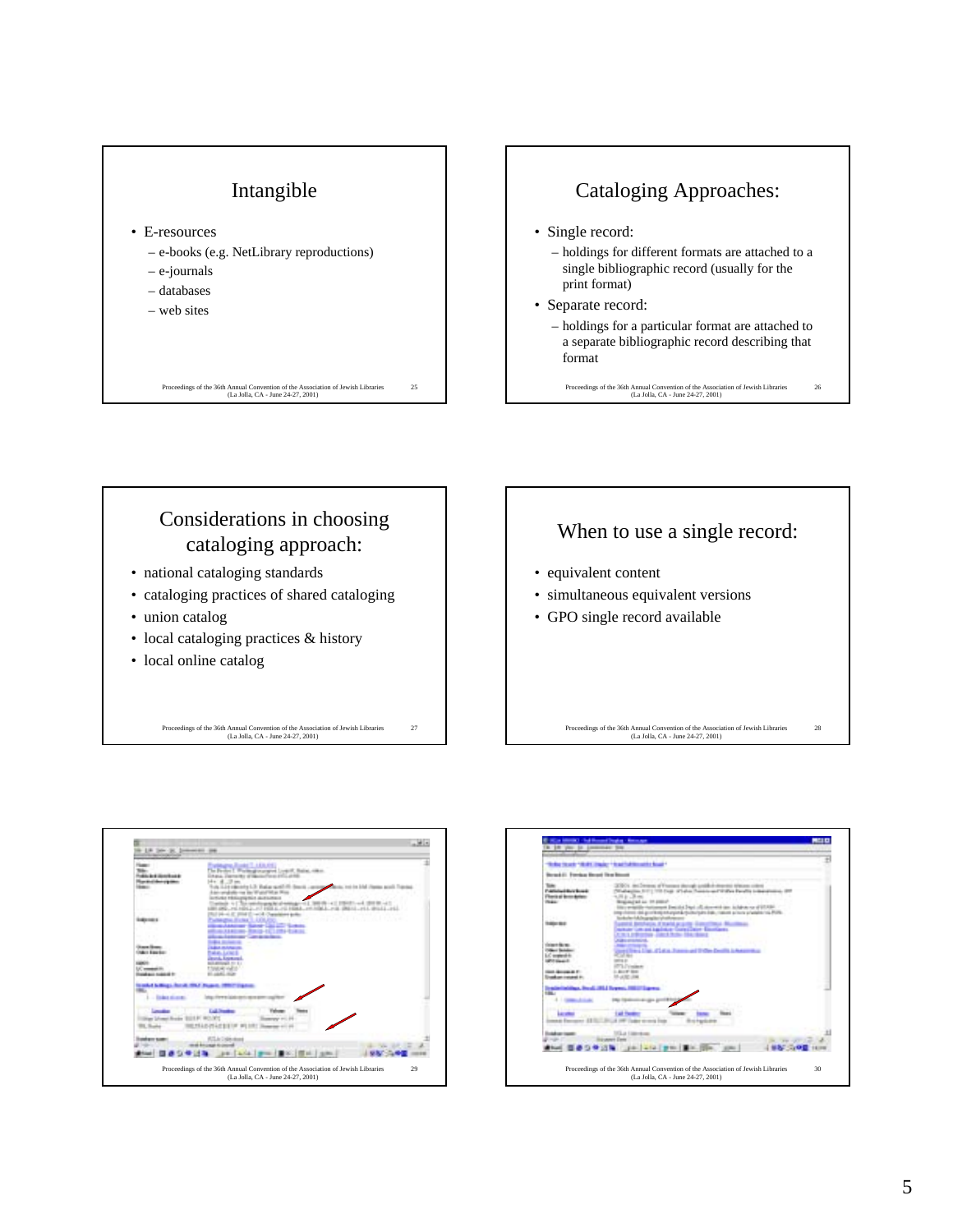



Considerations in choosing cataloging approach: • national cataloging standards

- cataloging practices of shared cataloging
- union catalog
- local cataloging practices & history
- local online catalog

Proceedings of the 36th Annual Convention of the Association of Jewish Libraries (La Jolla, CA - June 24-27, 2001)





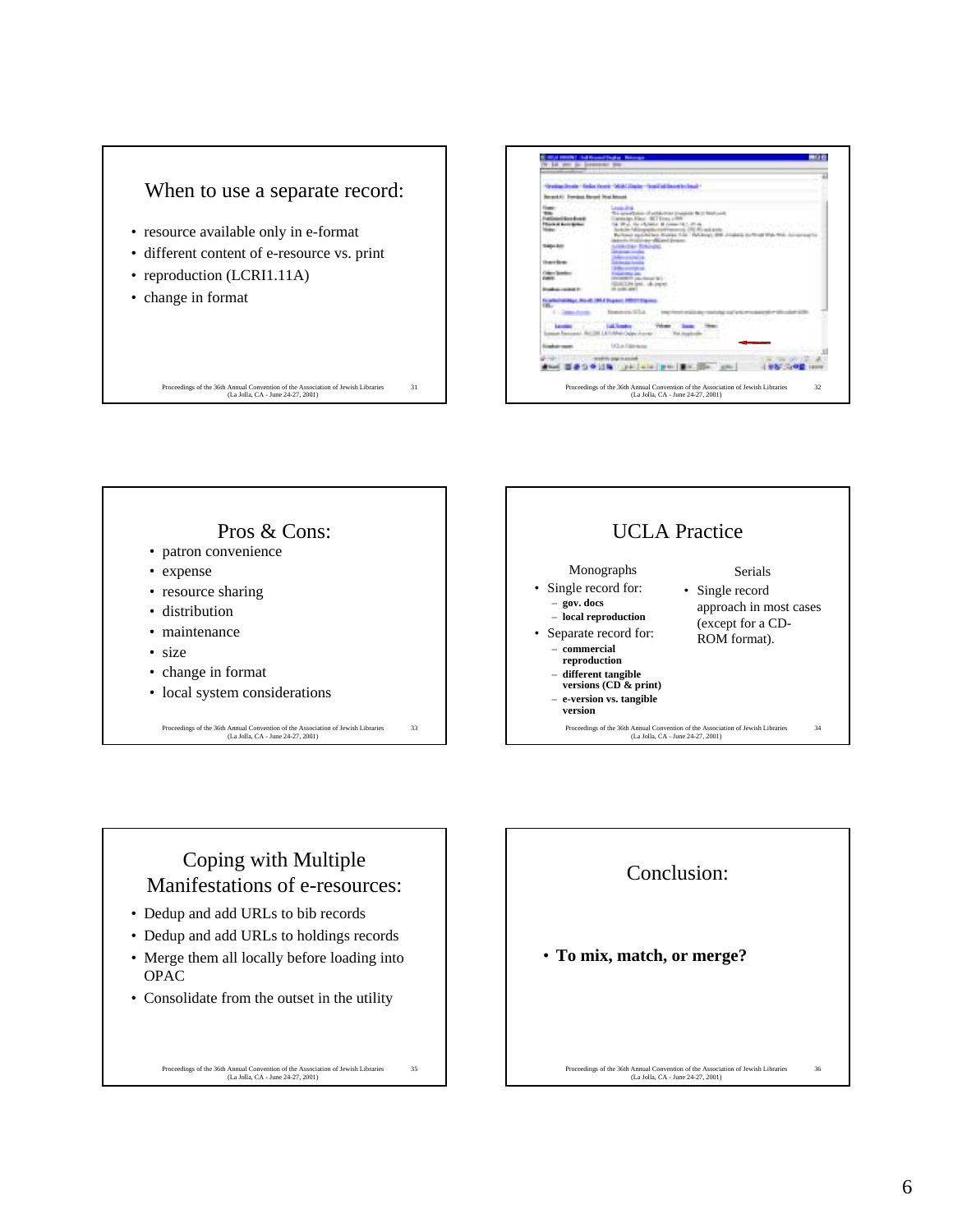





## Coping with Multiple Manifestations of e-resources:

- Dedup and add URLs to bib records
- Dedup and add URLs to holdings records
- Merge them all locally before loading into OPAC
- Consolidate from the outset in the utility

Proceedings of the 36th Annual Convention of the Association of Jewish Libraries (La Jolla, CA - June 24-27, 2001)